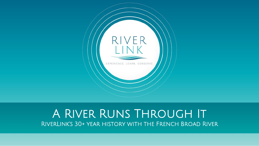

#### A River Runs Through It RiverLink's 30+ year history with the French Broad River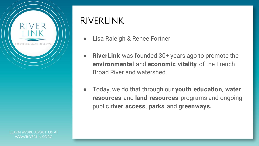

# **RIVERLINK**

- Lisa Raleigh & Renee Fortner
- **RiverLink** was founded 30+ years ago to promote the **environmental** and **economic vitality** of the French Broad River and watershed.
- Today, we do that through our **youth education**, **water resources** and **land resources** programs and ongoing public **river access**, **parks** and **greenways.**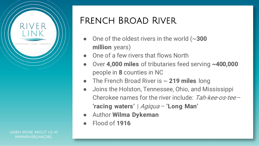

# French Broad River

- One of the oldest rivers in the world  $\sim$ **300 million** years)
- One of a few rivers that flows North
- Over **4,000 miles** of tributaries feed serving **~400,000**  people in **8** counties in NC
- The French Broad River is ~ **219 miles** long
- Joins the Holston, Tennessee, Ohio, and Mississippi Cherokee names for the river include: Tah-kee-os-tee – **'racing waters'** | Agiqua – **'Long Man'**
- Author **Wilma Dykeman**
- Flood of **1916**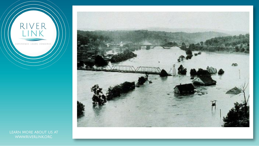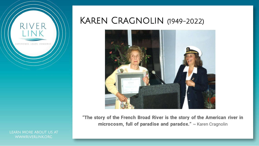

KAREN CRAGNOLIN (1949-2022)



**"The story of the French Broad River is the story of the American river in microcosm, full of paradise and paradox."** ~ Karen Cragnolin

LEARN MORE ABOUT US AT **WWW.RIVERLINKORG**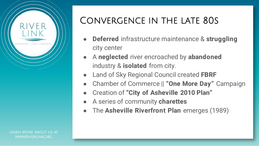

# Convergence in the late 80s

- **Deferred** infrastructure maintenance & **struggling** city center
- A **neglected** river encroached by **abandoned** industry & **isolated** from city.
- **Land of Sky Regional Council created FBRF**
- Chamber of Commerce || **"One More Day"** Campaign
- Creation of **"City of Asheville 2010 Plan"**
- A series of community **charettes**
- The **Asheville Riverfront Plan** emerges (1989)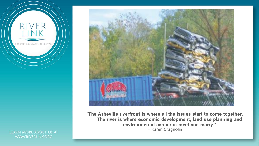

LEARN MORE ABOUT US AT **WWW.RIVERLINKORG** 



**"The Asheville riverfront is where all the issues start to come together. The river is where economic development, land use planning and environmental concerns meet and marry."**  – Karen Cragnolin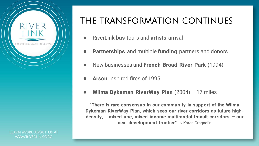

### The transformation continues

- RiverLink **bus** tours and **artists** arrival
- **Partnerships** and multiple **funding** partners and donors
- New businesses and **French Broad River Park (**1994)
- **Arson** inspired fires of 1995
- **Wilma Dykeman RiverWay Plan** (2004) 17 miles

**"There is rare consensus in our community in support of the Wilma Dykeman RiverWay Plan, which sees our river corridors as future highdensity, mixed-use, mixed-income multimodal transit corridors — our next development frontier" ~** Karen Cragnolin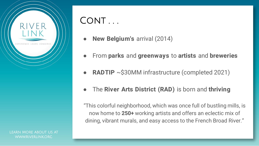

# CONT ...

- **New Belgium's arrival (2014)**
- From **parks** and **greenways** to **artists** and **breweries**
- **RADTIP**  $\sim$ \$30MM infrastructure (completed 2021)
- The **River Arts District (RAD)** is born and **thriving**

"This colorful neighborhood, which was once full of bustling mills, is now home to **250+** working artists and offers an eclectic mix of dining, vibrant murals, and easy access to the French Broad River."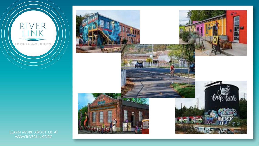

FΡ

EXPERIENCE, LEARN, CONSERVE

R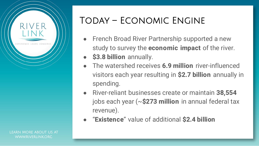

# Today – Economic Engine

- French Broad River Partnership supported a new study to survey the **economic impact** of the river.
- **\$3.8 billion** annually.
- The watershed receives **6.9 million** river-influenced visitors each year resulting in **\$2.7 billion** annually in spending.
- River-reliant businesses create or maintain **38,554**  jobs each year (~**\$273 million** in annual federal tax revenue).
- "**Existence**" value of additional **\$2.4 billion**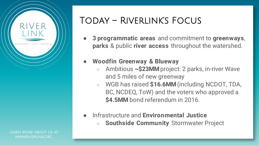

### Today – Riverlink's Focus

- **3 programmatic areas** and commitment to **greenways**, **parks** & public **river access** throughout the watershed.
- **Woodfin Greenway & Blueway**
	- Ambitious **~\$23MM** project: 2 parks, in-river Wave and 5 miles of new greenway
	- WGB has raised \$16.6MM (including NCDOT, TDA, BC, NCDEQ, ToW) and the voters who approved a **\$4.5MM** bond referendum in 2016.
- Infrastructure and **Environmental Justice**  ○ **Southside Community** Stormwater Project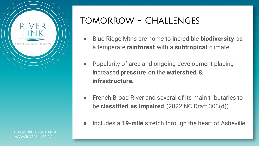

### Tomorrow - Challenges

- Blue Ridge Mtns are home to incredible **biodiversity** as a temperate **rainforest** with a **subtropical** climate.
- Popularity of area and ongoing development placing increased **pressure** on the **watershed & infrastructure.**
- French Broad River and several of its main tributaries to be **classified as impaired** (2022 NC Draft 303(d))
	- Includes a 19-mile stretch through the heart of Asheville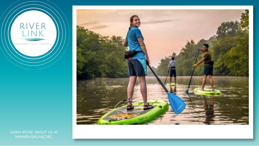

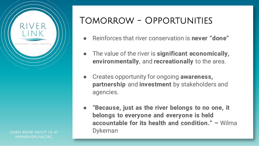

### Tomorrow - Opportunities

- Reinforces that river conservation is **never "done"**
- The value of the river is **significant economically, environmentally**, and **recreationally** to the area.
- Creates opportunity for ongoing **awareness, partnership** and **investment** by stakeholders and agencies.
- **Example 2 "Because, just as the river belongs to no one, it belongs to everyone and everyone is held accountable for its health and condition." –** Wilma Dykeman